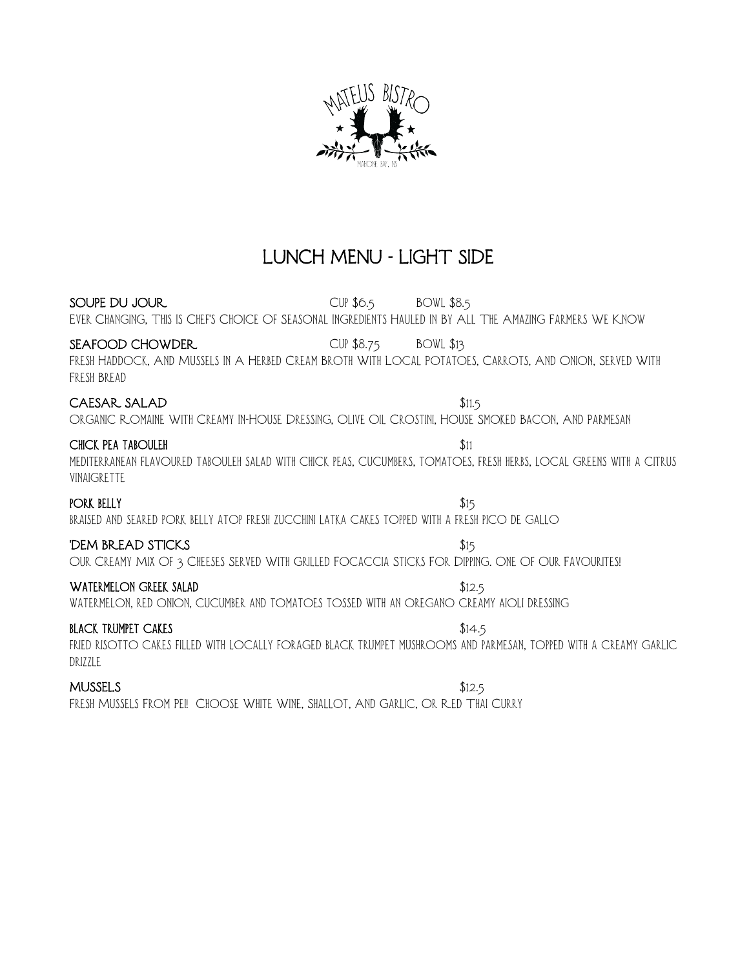

# LUNCH MENU - LIGHT SIDE

SOUPE DU JOUR CUP \$6.5 BOWL \$8.5 Ever Changing, This Is Chef's Choice Of Seasonal Ingredients Hauled In By All The Amazing Farmers We Know

### SEAFOOD CHOWDER CUP \$8.75 BOWL \$13

Fresh Haddock, And Mussels In A Herbed Cream Broth With Local Potatoes, Carrots, And Onion, Served With Fresh Bread

# CAESAR SALAD \$11.5

Organic Romaine With Creamy In-House Dressing, Olive Oil Crostini, House Smoked Bacon, And Parmesan

### CHICK PEA TABOULEH  $$11$

mediterranean flavoured tabouleh salad with chick peas, cucumbers, tomatoes, fresh herbs, local greens with a citrus vinaigrette

### PORK BELLY  $$15$

braised and seared pork belly atop fresh zucchini latka cakes topped with a fresh pico de gallo

# 'DEM BREAD STICKS \$15

OUR CREAMY MIX OF 3 CHEESES SERVED WITH GRILLED FOCACCIA STICKS FOR DIPING. ONE OF OUR FAVOURITES!

# WATERMELON GREEK SALAD \$12.5

watermelon, red onion, cucumber and tomatoes tossed with an oregano creamy aioli dressing

# **BLACK TRUMPET CAKES** \$14.5

fried risotto cakes filled with locally foraged black trumpet mushrooms and parmesan, topped with a creamy garlic drizzle

# $MUSSELS$   $$12.5$

Fresh Mussels From Pei! Choose White Wine, Shallot, And Garlic, Or Red Thai Curry